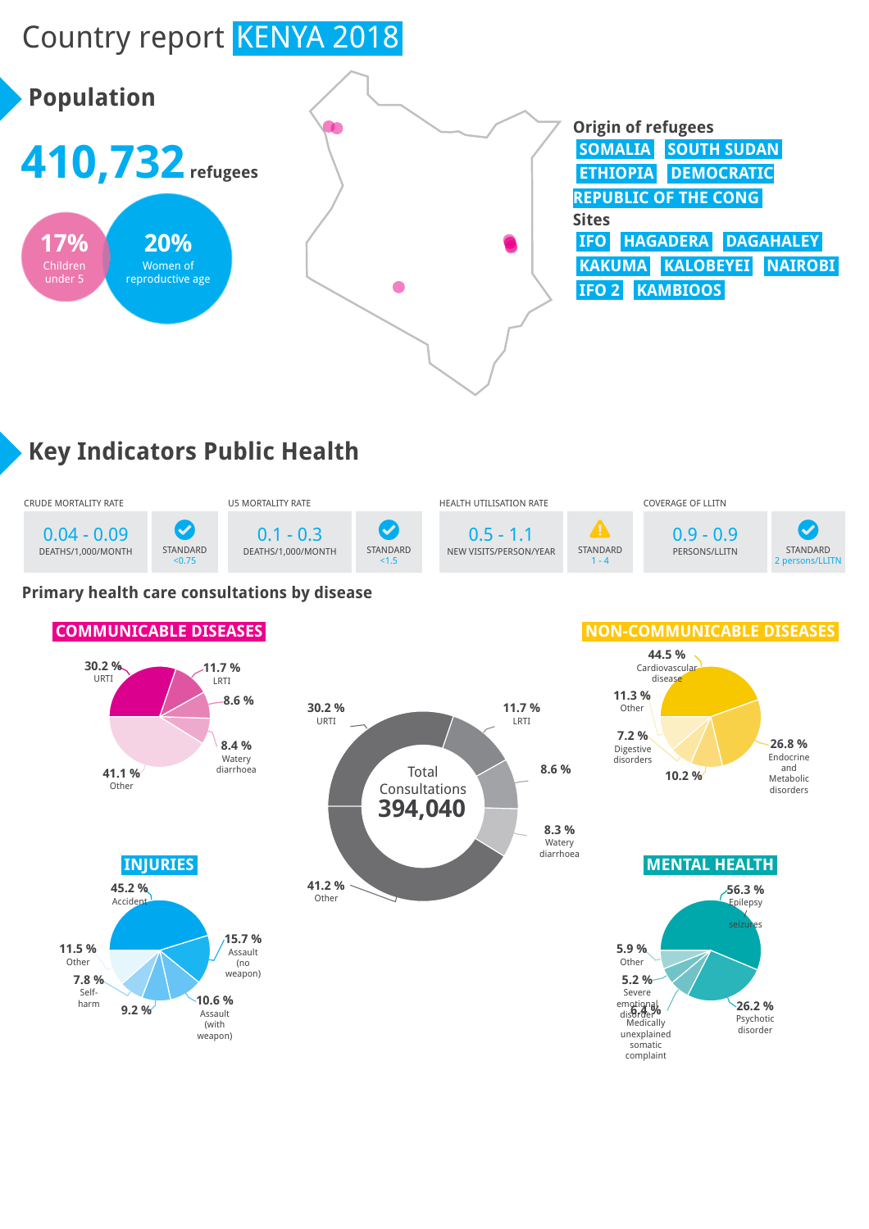# Country report KENYA 2018



## **Key Indicators Public Health**



#### **Primary health care consultations by disease**

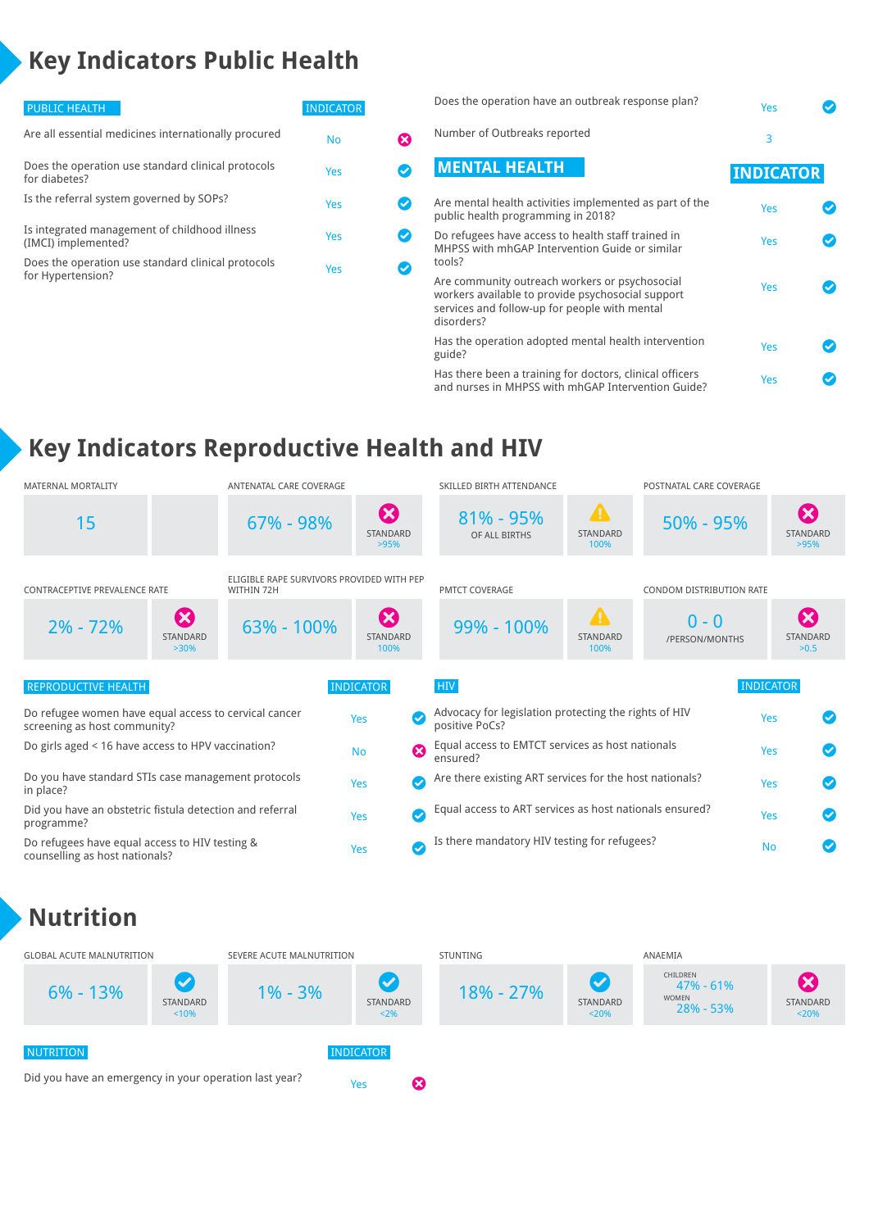## **Key Indicators Public Health**

| <b>PUBLIC HEALTH</b>                                                    | <b>INDICATOR</b> |  |
|-------------------------------------------------------------------------|------------------|--|
| Are all essential medicines internationally procured                    | No               |  |
| Does the operation use standard clinical protocols<br>for diabetes?     | Yes              |  |
| Is the referral system governed by SOPs?                                | Yes              |  |
| Is integrated management of childhood illness<br>(IMCI) implemented?    | Yes              |  |
| Does the operation use standard clinical protocols<br>for Hypertension? | Yes              |  |
|                                                                         |                  |  |

| Does the operation have an outbreak response plan?                                                                                                                 | Yes              |  |
|--------------------------------------------------------------------------------------------------------------------------------------------------------------------|------------------|--|
| Number of Outbreaks reported                                                                                                                                       | 3                |  |
| <b>MENTAL HEALTH</b>                                                                                                                                               | <b>INDICATOR</b> |  |
| Are mental health activities implemented as part of the<br>public health programming in 2018?                                                                      | Yes              |  |
| Do refugees have access to health staff trained in<br>MHPSS with mhGAP Intervention Guide or similar<br>tools?                                                     | Yes              |  |
| Are community outreach workers or psychosocial<br>workers available to provide psychosocial support<br>services and follow-up for people with mental<br>disorders? | Yes              |  |
| Has the operation adopted mental health intervention<br>guide?                                                                                                     | Yes              |  |
| Has there been a training for doctors, clinical officers<br>and nurses in MHPSS with mhGAP Intervention Guide?                                                     | Yes              |  |

### **Key Indicators Reproductive Health and HIV**

| <b>MATERNAL MORTALITY</b>                                                             | ANTENATAL CARE COVERAGE                                 |                                           | SKILLED BIRTH ATTENDANCE                                                |                                           | POSTNATAL CARE COVERAGE   |                                        |
|---------------------------------------------------------------------------------------|---------------------------------------------------------|-------------------------------------------|-------------------------------------------------------------------------|-------------------------------------------|---------------------------|----------------------------------------|
| 15                                                                                    | 67% - 98%                                               | $\boldsymbol{\Omega}$<br>STANDARD<br>>95% | $81\% - 95\%$<br>OF ALL BIRTHS                                          | $\blacktriangle$<br>STANDARD<br>100%      | $50\% - 95\%$             | Ø<br><b>STANDARD</b><br>>95%           |
| CONTRACEPTIVE PREVALENCE RATE                                                         | ELIGIBLE RAPE SURVIVORS PROVIDED WITH PEP<br>WITHIN 72H |                                           | <b>PMTCT COVERAGE</b>                                                   |                                           | CONDOM DISTRIBUTION RATE  |                                        |
| $\boldsymbol{\omega}$<br>$2\% - 72\%$<br>STANDARD<br>$>30\%$                          | 63% - 100%                                              | Ø<br><b>STANDARD</b><br>100%              | 99% - 100%                                                              | $\blacksquare$<br><b>STANDARD</b><br>100% | $0 - 0$<br>/PERSON/MONTHS | $\mathbf x$<br><b>STANDARD</b><br>>0.5 |
| <b>REPRODUCTIVE HEALTH</b>                                                            |                                                         | <b>INDICATOR</b>                          | <b>HIV</b>                                                              |                                           |                           | <b>INDICATOR</b>                       |
| Do refugee women have equal access to cervical cancer<br>screening as host community? |                                                         | Yes<br>$\bullet$                          | Advocacy for legislation protecting the rights of HIV<br>positive PoCs? |                                           |                           | Yes                                    |
| Do girls aged < 16 have access to HPV vaccination?                                    |                                                         | $\boldsymbol{\Omega}$<br><b>No</b>        | Equal access to EMTCT services as host nationals<br>ensured?            |                                           |                           | Yes                                    |
| Do you have standard STIs case management protocols<br>in place?                      |                                                         | $\bm{\sigma}$<br>Yes                      | Are there existing ART services for the host nationals?                 |                                           |                           | $\bullet$<br>Yes                       |
| Did you have an obstetric fistula detection and referral<br>programme?                |                                                         | $\bullet$<br>Yes                          | Equal access to ART services as host nationals ensured?                 |                                           |                           | Yes<br>$\bullet$                       |
| Do refugees have equal access to HIV testing &<br>counselling as host nationals?      |                                                         | $\bm{\sigma}$<br>Yes                      | Is there mandatory HIV testing for refugees?                            |                                           |                           | <b>No</b>                              |

#### **Nutrition**